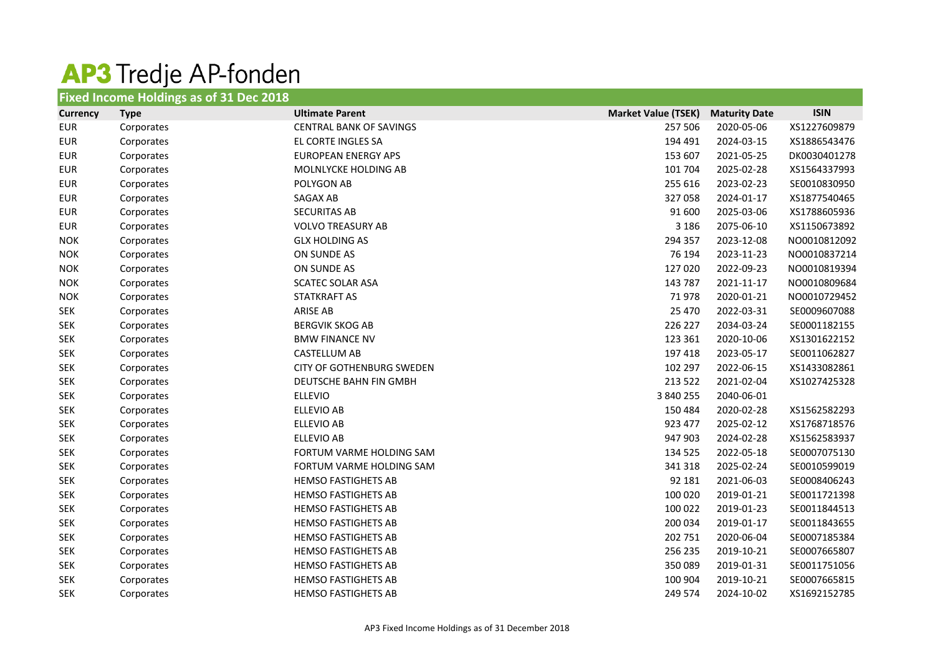## **AP3** Tredje AP-fonden

| <b>Fixed Income Holdings as of 31 Dec 2018</b> |             |                                  |                            |                      |              |  |
|------------------------------------------------|-------------|----------------------------------|----------------------------|----------------------|--------------|--|
| <b>Currency</b>                                | <b>Type</b> | <b>Ultimate Parent</b>           | <b>Market Value (TSEK)</b> | <b>Maturity Date</b> | <b>ISIN</b>  |  |
| <b>EUR</b>                                     | Corporates  | <b>CENTRAL BANK OF SAVINGS</b>   | 257 506                    | 2020-05-06           | XS1227609879 |  |
| <b>EUR</b>                                     | Corporates  | EL CORTE INGLES SA               | 194 491                    | 2024-03-15           | XS1886543476 |  |
| <b>EUR</b>                                     | Corporates  | <b>EUROPEAN ENERGY APS</b>       | 153 607                    | 2021-05-25           | DK0030401278 |  |
| <b>EUR</b>                                     | Corporates  | MOLNLYCKE HOLDING AB             | 101 704                    | 2025-02-28           | XS1564337993 |  |
| <b>EUR</b>                                     | Corporates  | POLYGON AB                       | 255 616                    | 2023-02-23           | SE0010830950 |  |
| <b>EUR</b>                                     | Corporates  | SAGAX AB                         | 327058                     | 2024-01-17           | XS1877540465 |  |
| <b>EUR</b>                                     | Corporates  | <b>SECURITAS AB</b>              | 91 600                     | 2025-03-06           | XS1788605936 |  |
| <b>EUR</b>                                     | Corporates  | <b>VOLVO TREASURY AB</b>         | 3 1 8 6                    | 2075-06-10           | XS1150673892 |  |
| <b>NOK</b>                                     | Corporates  | <b>GLX HOLDING AS</b>            | 294 357                    | 2023-12-08           | NO0010812092 |  |
| <b>NOK</b>                                     | Corporates  | ON SUNDE AS                      | 76 194                     | 2023-11-23           | NO0010837214 |  |
| <b>NOK</b>                                     | Corporates  | ON SUNDE AS                      | 127 020                    | 2022-09-23           | NO0010819394 |  |
| <b>NOK</b>                                     | Corporates  | <b>SCATEC SOLAR ASA</b>          | 143 787                    | 2021-11-17           | NO0010809684 |  |
| <b>NOK</b>                                     | Corporates  | STATKRAFT AS                     | 71978                      | 2020-01-21           | NO0010729452 |  |
| <b>SEK</b>                                     | Corporates  | <b>ARISE AB</b>                  | 25 4 70                    | 2022-03-31           | SE0009607088 |  |
| <b>SEK</b>                                     | Corporates  | <b>BERGVIK SKOG AB</b>           | 226 227                    | 2034-03-24           | SE0001182155 |  |
| <b>SEK</b>                                     | Corporates  | <b>BMW FINANCE NV</b>            | 123 361                    | 2020-10-06           | XS1301622152 |  |
| <b>SEK</b>                                     | Corporates  | <b>CASTELLUM AB</b>              | 197 418                    | 2023-05-17           | SE0011062827 |  |
| <b>SEK</b>                                     | Corporates  | <b>CITY OF GOTHENBURG SWEDEN</b> | 102 297                    | 2022-06-15           | XS1433082861 |  |
| <b>SEK</b>                                     | Corporates  | DEUTSCHE BAHN FIN GMBH           | 213 522                    | 2021-02-04           | XS1027425328 |  |
| <b>SEK</b>                                     | Corporates  | <b>ELLEVIO</b>                   | 3 840 255                  | 2040-06-01           |              |  |
| <b>SEK</b>                                     | Corporates  | <b>ELLEVIO AB</b>                | 150 484                    | 2020-02-28           | XS1562582293 |  |
| <b>SEK</b>                                     | Corporates  | ELLEVIO AB                       | 923 477                    | 2025-02-12           | XS1768718576 |  |
| <b>SEK</b>                                     | Corporates  | <b>ELLEVIO AB</b>                | 947 903                    | 2024-02-28           | XS1562583937 |  |
| <b>SEK</b>                                     | Corporates  | FORTUM VARME HOLDING SAM         | 134 525                    | 2022-05-18           | SE0007075130 |  |
| <b>SEK</b>                                     | Corporates  | FORTUM VARME HOLDING SAM         | 341 318                    | 2025-02-24           | SE0010599019 |  |
| <b>SEK</b>                                     | Corporates  | <b>HEMSO FASTIGHETS AB</b>       | 92 181                     | 2021-06-03           | SE0008406243 |  |
| <b>SEK</b>                                     | Corporates  | <b>HEMSO FASTIGHETS AB</b>       | 100 020                    | 2019-01-21           | SE0011721398 |  |
| <b>SEK</b>                                     | Corporates  | <b>HEMSO FASTIGHETS AB</b>       | 100 022                    | 2019-01-23           | SE0011844513 |  |
| <b>SEK</b>                                     | Corporates  | <b>HEMSO FASTIGHETS AB</b>       | 200 034                    | 2019-01-17           | SE0011843655 |  |
| <b>SEK</b>                                     | Corporates  | <b>HEMSO FASTIGHETS AB</b>       | 202 751                    | 2020-06-04           | SE0007185384 |  |
| <b>SEK</b>                                     | Corporates  | <b>HEMSO FASTIGHETS AB</b>       | 256 235                    | 2019-10-21           | SE0007665807 |  |
| <b>SEK</b>                                     | Corporates  | <b>HEMSO FASTIGHETS AB</b>       | 350089                     | 2019-01-31           | SE0011751056 |  |
| <b>SEK</b>                                     | Corporates  | <b>HEMSO FASTIGHETS AB</b>       | 100 904                    | 2019-10-21           | SE0007665815 |  |
| <b>SEK</b>                                     | Corporates  | <b>HEMSO FASTIGHETS AB</b>       | 249 574                    | 2024-10-02           | XS1692152785 |  |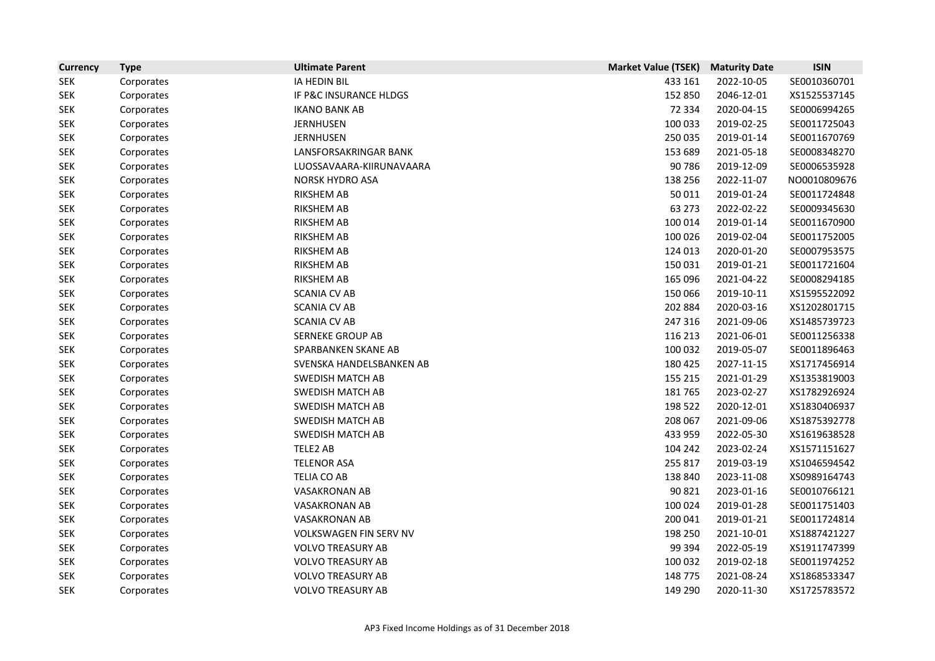| <b>Currency</b> | <b>Type</b> | <b>Ultimate Parent</b>   | <b>Market Value (TSEK)</b> | <b>Maturity Date</b> | <b>ISIN</b>  |
|-----------------|-------------|--------------------------|----------------------------|----------------------|--------------|
| <b>SEK</b>      | Corporates  | IA HEDIN BIL             | 433 161                    | 2022-10-05           | SE0010360701 |
| <b>SEK</b>      | Corporates  | IF P&C INSURANCE HLDGS   | 152 850                    | 2046-12-01           | XS1525537145 |
| <b>SEK</b>      | Corporates  | <b>IKANO BANK AB</b>     | 72 3 34                    | 2020-04-15           | SE0006994265 |
| <b>SEK</b>      | Corporates  | <b>JERNHUSEN</b>         | 100 033                    | 2019-02-25           | SE0011725043 |
| <b>SEK</b>      | Corporates  | <b>JERNHUSEN</b>         | 250 035                    | 2019-01-14           | SE0011670769 |
| <b>SEK</b>      | Corporates  | LANSFORSAKRINGAR BANK    | 153 689                    | 2021-05-18           | SE0008348270 |
| <b>SEK</b>      | Corporates  | LUOSSAVAARA-KIIRUNAVAARA | 90 786                     | 2019-12-09           | SE0006535928 |
| <b>SEK</b>      | Corporates  | <b>NORSK HYDRO ASA</b>   | 138 256                    | 2022-11-07           | NO0010809676 |
| <b>SEK</b>      | Corporates  | <b>RIKSHEM AB</b>        | 50 011                     | 2019-01-24           | SE0011724848 |
| <b>SEK</b>      | Corporates  | <b>RIKSHEM AB</b>        | 63 273                     | 2022-02-22           | SE0009345630 |
| <b>SEK</b>      | Corporates  | <b>RIKSHEM AB</b>        | 100 014                    | 2019-01-14           | SE0011670900 |
| SEK             | Corporates  | <b>RIKSHEM AB</b>        | 100 026                    | 2019-02-04           | SE0011752005 |
| <b>SEK</b>      | Corporates  | <b>RIKSHEM AB</b>        | 124 013                    | 2020-01-20           | SE0007953575 |
| <b>SEK</b>      | Corporates  | <b>RIKSHEM AB</b>        | 150 031                    | 2019-01-21           | SE0011721604 |
| <b>SEK</b>      | Corporates  | <b>RIKSHEM AB</b>        | 165 096                    | 2021-04-22           | SE0008294185 |
| <b>SEK</b>      | Corporates  | <b>SCANIA CV AB</b>      | 150 066                    | 2019-10-11           | XS1595522092 |
| <b>SEK</b>      | Corporates  | <b>SCANIA CV AB</b>      | 202 884                    | 2020-03-16           | XS1202801715 |
| <b>SEK</b>      | Corporates  | <b>SCANIA CV AB</b>      | 247 316                    | 2021-09-06           | XS1485739723 |
| <b>SEK</b>      | Corporates  | <b>SERNEKE GROUP AB</b>  | 116 213                    | 2021-06-01           | SE0011256338 |
| <b>SEK</b>      | Corporates  | SPARBANKEN SKANE AB      | 100 032                    | 2019-05-07           | SE0011896463 |
| <b>SEK</b>      | Corporates  | SVENSKA HANDELSBANKEN AB | 180 425                    | 2027-11-15           | XS1717456914 |
| SEK             | Corporates  | <b>SWEDISH MATCH AB</b>  | 155 215                    | 2021-01-29           | XS1353819003 |
| <b>SEK</b>      | Corporates  | <b>SWEDISH MATCH AB</b>  | 181765                     | 2023-02-27           | XS1782926924 |
| <b>SEK</b>      | Corporates  | <b>SWEDISH MATCH AB</b>  | 198 522                    | 2020-12-01           | XS1830406937 |
| <b>SEK</b>      | Corporates  | <b>SWEDISH MATCH AB</b>  | 208 067                    | 2021-09-06           | XS1875392778 |
| <b>SEK</b>      | Corporates  | <b>SWEDISH MATCH AB</b>  | 433 959                    | 2022-05-30           | XS1619638528 |
| <b>SEK</b>      | Corporates  | TELE2 AB                 | 104 242                    | 2023-02-24           | XS1571151627 |
| <b>SEK</b>      | Corporates  | <b>TELENOR ASA</b>       | 255 817                    | 2019-03-19           | XS1046594542 |
| <b>SEK</b>      | Corporates  | TELIA CO AB              | 138 840                    | 2023-11-08           | XS0989164743 |
| <b>SEK</b>      | Corporates  | <b>VASAKRONAN AB</b>     | 90 821                     | 2023-01-16           | SE0010766121 |
| <b>SEK</b>      | Corporates  | <b>VASAKRONAN AB</b>     | 100 024                    | 2019-01-28           | SE0011751403 |
| <b>SEK</b>      | Corporates  | <b>VASAKRONAN AB</b>     | 200 041                    | 2019-01-21           | SE0011724814 |
| <b>SEK</b>      | Corporates  | VOLKSWAGEN FIN SERV NV   | 198 250                    | 2021-10-01           | XS1887421227 |
| SEK             | Corporates  | <b>VOLVO TREASURY AB</b> | 99 394                     | 2022-05-19           | XS1911747399 |
| <b>SEK</b>      | Corporates  | <b>VOLVO TREASURY AB</b> | 100 032                    | 2019-02-18           | SE0011974252 |
| <b>SEK</b>      | Corporates  | <b>VOLVO TREASURY AB</b> | 148 775                    | 2021-08-24           | XS1868533347 |
| <b>SEK</b>      | Corporates  | <b>VOLVO TREASURY AB</b> | 149 290                    | 2020-11-30           | XS1725783572 |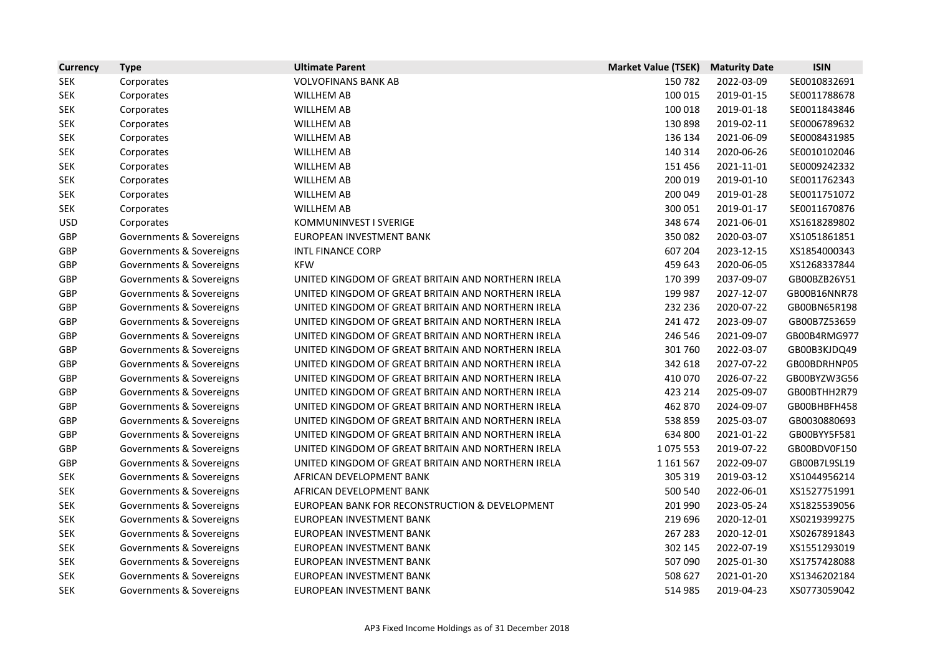| <b>Currency</b> | <b>Type</b>              | <b>Ultimate Parent</b>                             | <b>Market Value (TSEK)</b> | <b>Maturity Date</b> | <b>ISIN</b>  |
|-----------------|--------------------------|----------------------------------------------------|----------------------------|----------------------|--------------|
| <b>SEK</b>      | Corporates               | <b>VOLVOFINANS BANK AB</b>                         | 150782                     | 2022-03-09           | SE0010832691 |
| <b>SEK</b>      | Corporates               | <b>WILLHEM AB</b>                                  | 100 015                    | 2019-01-15           | SE0011788678 |
| <b>SEK</b>      | Corporates               | <b>WILLHEM AB</b>                                  | 100 018                    | 2019-01-18           | SE0011843846 |
| <b>SEK</b>      | Corporates               | <b>WILLHEM AB</b>                                  | 130 898                    | 2019-02-11           | SE0006789632 |
| <b>SEK</b>      | Corporates               | <b>WILLHEM AB</b>                                  | 136 134                    | 2021-06-09           | SE0008431985 |
| <b>SEK</b>      | Corporates               | <b>WILLHEM AB</b>                                  | 140 314                    | 2020-06-26           | SE0010102046 |
| <b>SEK</b>      | Corporates               | <b>WILLHEM AB</b>                                  | 151 456                    | 2021-11-01           | SE0009242332 |
| <b>SEK</b>      | Corporates               | <b>WILLHEM AB</b>                                  | 200 019                    | 2019-01-10           | SE0011762343 |
| <b>SEK</b>      | Corporates               | <b>WILLHEM AB</b>                                  | 200 049                    | 2019-01-28           | SE0011751072 |
| <b>SEK</b>      | Corporates               | <b>WILLHEM AB</b>                                  | 300 051                    | 2019-01-17           | SE0011670876 |
| <b>USD</b>      | Corporates               | KOMMUNINVEST I SVERIGE                             | 348 674                    | 2021-06-01           | XS1618289802 |
| GBP             | Governments & Sovereigns | EUROPEAN INVESTMENT BANK                           | 350082                     | 2020-03-07           | XS1051861851 |
| <b>GBP</b>      | Governments & Sovereigns | <b>INTL FINANCE CORP</b>                           | 607 204                    | 2023-12-15           | XS1854000343 |
| GBP             | Governments & Sovereigns | <b>KFW</b>                                         | 459 643                    | 2020-06-05           | XS1268337844 |
| GBP             | Governments & Sovereigns | UNITED KINGDOM OF GREAT BRITAIN AND NORTHERN IRELA | 170 399                    | 2037-09-07           | GB00BZB26Y51 |
| GBP             | Governments & Sovereigns | UNITED KINGDOM OF GREAT BRITAIN AND NORTHERN IRELA | 199 987                    | 2027-12-07           | GB00B16NNR78 |
| GBP             | Governments & Sovereigns | UNITED KINGDOM OF GREAT BRITAIN AND NORTHERN IRELA | 232 236                    | 2020-07-22           | GB00BN65R198 |
| GBP             | Governments & Sovereigns | UNITED KINGDOM OF GREAT BRITAIN AND NORTHERN IRELA | 241 472                    | 2023-09-07           | GB00B7Z53659 |
| GBP             | Governments & Sovereigns | UNITED KINGDOM OF GREAT BRITAIN AND NORTHERN IRELA | 246 546                    | 2021-09-07           | GB00B4RMG977 |
| GBP             | Governments & Sovereigns | UNITED KINGDOM OF GREAT BRITAIN AND NORTHERN IRELA | 301 760                    | 2022-03-07           | GB00B3KJDQ49 |
| GBP             | Governments & Sovereigns | UNITED KINGDOM OF GREAT BRITAIN AND NORTHERN IRELA | 342 618                    | 2027-07-22           | GB00BDRHNP05 |
| GBP             | Governments & Sovereigns | UNITED KINGDOM OF GREAT BRITAIN AND NORTHERN IRELA | 410 070                    | 2026-07-22           | GB00BYZW3G56 |
| GBP             | Governments & Sovereigns | UNITED KINGDOM OF GREAT BRITAIN AND NORTHERN IRELA | 423 214                    | 2025-09-07           | GB00BTHH2R79 |
| GBP             | Governments & Sovereigns | UNITED KINGDOM OF GREAT BRITAIN AND NORTHERN IRELA | 462 870                    | 2024-09-07           | GB00BHBFH458 |
| GBP             | Governments & Sovereigns | UNITED KINGDOM OF GREAT BRITAIN AND NORTHERN IRELA | 538 859                    | 2025-03-07           | GB0030880693 |
| GBP             | Governments & Sovereigns | UNITED KINGDOM OF GREAT BRITAIN AND NORTHERN IRELA | 634 800                    | 2021-01-22           | GB00BYY5F581 |
| GBP             | Governments & Sovereigns | UNITED KINGDOM OF GREAT BRITAIN AND NORTHERN IRELA | 1075 553                   | 2019-07-22           | GB00BDV0F150 |
| <b>GBP</b>      | Governments & Sovereigns | UNITED KINGDOM OF GREAT BRITAIN AND NORTHERN IRELA | 1 1 6 1 5 6 7              | 2022-09-07           | GB00B7L9SL19 |
| <b>SEK</b>      | Governments & Sovereigns | AFRICAN DEVELOPMENT BANK                           | 305 319                    | 2019-03-12           | XS1044956214 |
| <b>SEK</b>      | Governments & Sovereigns | AFRICAN DEVELOPMENT BANK                           | 500 540                    | 2022-06-01           | XS1527751991 |
| <b>SEK</b>      | Governments & Sovereigns | EUROPEAN BANK FOR RECONSTRUCTION & DEVELOPMENT     | 201 990                    | 2023-05-24           | XS1825539056 |
| <b>SEK</b>      | Governments & Sovereigns | EUROPEAN INVESTMENT BANK                           | 219 696                    | 2020-12-01           | XS0219399275 |
| SEK             | Governments & Sovereigns | EUROPEAN INVESTMENT BANK                           | 267 283                    | 2020-12-01           | XS0267891843 |
| <b>SEK</b>      | Governments & Sovereigns | EUROPEAN INVESTMENT BANK                           | 302 145                    | 2022-07-19           | XS1551293019 |
| <b>SEK</b>      | Governments & Sovereigns | EUROPEAN INVESTMENT BANK                           | 507 090                    | 2025-01-30           | XS1757428088 |
| <b>SEK</b>      | Governments & Sovereigns | EUROPEAN INVESTMENT BANK                           | 508 627                    | 2021-01-20           | XS1346202184 |
| <b>SEK</b>      | Governments & Sovereigns | EUROPEAN INVESTMENT BANK                           | 514 985                    | 2019-04-23           | XS0773059042 |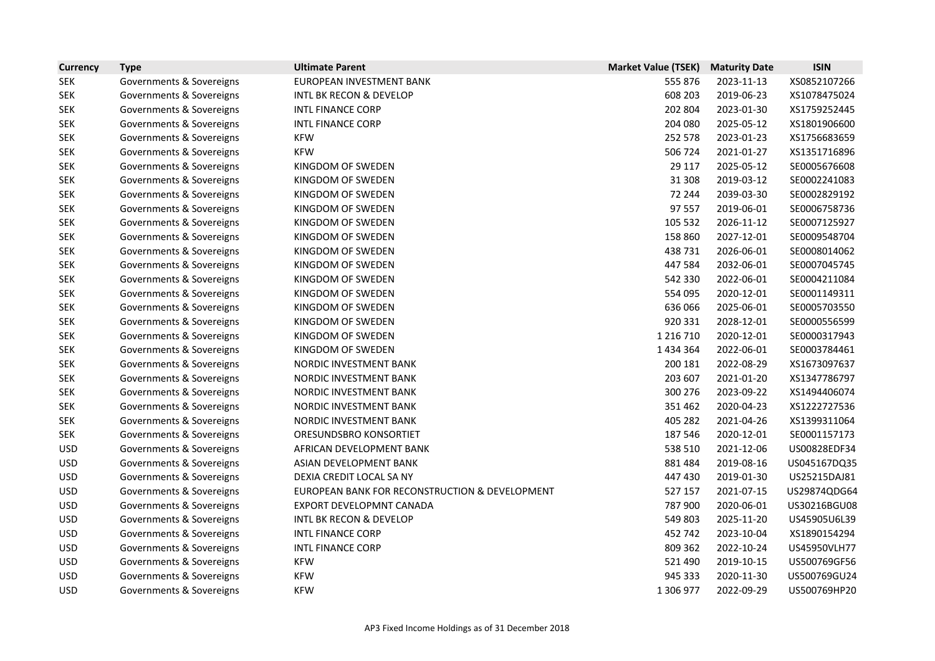| <b>Currency</b> | <b>Type</b>              | <b>Ultimate Parent</b>                         | <b>Market Value (TSEK)</b> | <b>Maturity Date</b> | <b>ISIN</b>  |
|-----------------|--------------------------|------------------------------------------------|----------------------------|----------------------|--------------|
| <b>SEK</b>      | Governments & Sovereigns | EUROPEAN INVESTMENT BANK                       | 555 876                    | 2023-11-13           | XS0852107266 |
| <b>SEK</b>      | Governments & Sovereigns | <b>INTL BK RECON &amp; DEVELOP</b>             | 608 203                    | 2019-06-23           | XS1078475024 |
| <b>SEK</b>      | Governments & Sovereigns | <b>INTL FINANCE CORP</b>                       | 202 804                    | 2023-01-30           | XS1759252445 |
| <b>SEK</b>      | Governments & Sovereigns | <b>INTL FINANCE CORP</b>                       | 204 080                    | 2025-05-12           | XS1801906600 |
| <b>SEK</b>      | Governments & Sovereigns | <b>KFW</b>                                     | 252 578                    | 2023-01-23           | XS1756683659 |
| <b>SEK</b>      | Governments & Sovereigns | <b>KFW</b>                                     | 506 724                    | 2021-01-27           | XS1351716896 |
| <b>SEK</b>      | Governments & Sovereigns | KINGDOM OF SWEDEN                              | 29 117                     | 2025-05-12           | SE0005676608 |
| <b>SEK</b>      | Governments & Sovereigns | KINGDOM OF SWEDEN                              | 31 308                     | 2019-03-12           | SE0002241083 |
| <b>SEK</b>      | Governments & Sovereigns | KINGDOM OF SWEDEN                              | 72 244                     | 2039-03-30           | SE0002829192 |
| <b>SEK</b>      | Governments & Sovereigns | KINGDOM OF SWEDEN                              | 97 557                     | 2019-06-01           | SE0006758736 |
| <b>SEK</b>      | Governments & Sovereigns | KINGDOM OF SWEDEN                              | 105 532                    | 2026-11-12           | SE0007125927 |
| <b>SEK</b>      | Governments & Sovereigns | KINGDOM OF SWEDEN                              | 158 860                    | 2027-12-01           | SE0009548704 |
| <b>SEK</b>      | Governments & Sovereigns | KINGDOM OF SWEDEN                              | 438 731                    | 2026-06-01           | SE0008014062 |
| <b>SEK</b>      | Governments & Sovereigns | KINGDOM OF SWEDEN                              | 447 584                    | 2032-06-01           | SE0007045745 |
| <b>SEK</b>      | Governments & Sovereigns | KINGDOM OF SWEDEN                              | 542 330                    | 2022-06-01           | SE0004211084 |
| <b>SEK</b>      | Governments & Sovereigns | KINGDOM OF SWEDEN                              | 554 095                    | 2020-12-01           | SE0001149311 |
| <b>SEK</b>      | Governments & Sovereigns | KINGDOM OF SWEDEN                              | 636 066                    | 2025-06-01           | SE0005703550 |
| <b>SEK</b>      | Governments & Sovereigns | KINGDOM OF SWEDEN                              | 920 331                    | 2028-12-01           | SE0000556599 |
| <b>SEK</b>      | Governments & Sovereigns | KINGDOM OF SWEDEN                              | 1 2 1 6 7 1 0              | 2020-12-01           | SE0000317943 |
| <b>SEK</b>      | Governments & Sovereigns | KINGDOM OF SWEDEN                              | 1 4 3 4 3 6 4              | 2022-06-01           | SE0003784461 |
| <b>SEK</b>      | Governments & Sovereigns | NORDIC INVESTMENT BANK                         | 200 181                    | 2022-08-29           | XS1673097637 |
| <b>SEK</b>      | Governments & Sovereigns | NORDIC INVESTMENT BANK                         | 203 607                    | 2021-01-20           | XS1347786797 |
| <b>SEK</b>      | Governments & Sovereigns | NORDIC INVESTMENT BANK                         | 300 276                    | 2023-09-22           | XS1494406074 |
| <b>SEK</b>      | Governments & Sovereigns | NORDIC INVESTMENT BANK                         | 351 462                    | 2020-04-23           | XS1222727536 |
| <b>SEK</b>      | Governments & Sovereigns | NORDIC INVESTMENT BANK                         | 405 282                    | 2021-04-26           | XS1399311064 |
| <b>SEK</b>      | Governments & Sovereigns | ORESUNDSBRO KONSORTIET                         | 187 546                    | 2020-12-01           | SE0001157173 |
| <b>USD</b>      | Governments & Sovereigns | AFRICAN DEVELOPMENT BANK                       | 538 510                    | 2021-12-06           | US00828EDF34 |
| <b>USD</b>      | Governments & Sovereigns | ASIAN DEVELOPMENT BANK                         | 881 484                    | 2019-08-16           | US045167DQ35 |
| <b>USD</b>      | Governments & Sovereigns | DEXIA CREDIT LOCAL SA NY                       | 447 430                    | 2019-01-30           | US25215DAJ81 |
| <b>USD</b>      | Governments & Sovereigns | EUROPEAN BANK FOR RECONSTRUCTION & DEVELOPMENT | 527 157                    | 2021-07-15           | US29874QDG64 |
| <b>USD</b>      | Governments & Sovereigns | EXPORT DEVELOPMNT CANADA                       | 787 900                    | 2020-06-01           | US30216BGU08 |
| <b>USD</b>      | Governments & Sovereigns | <b>INTL BK RECON &amp; DEVELOP</b>             | 549 803                    | 2025-11-20           | US45905U6L39 |
| <b>USD</b>      | Governments & Sovereigns | <b>INTL FINANCE CORP</b>                       | 452 742                    | 2023-10-04           | XS1890154294 |
| <b>USD</b>      | Governments & Sovereigns | <b>INTL FINANCE CORP</b>                       | 809 362                    | 2022-10-24           | US45950VLH77 |
| <b>USD</b>      | Governments & Sovereigns | <b>KFW</b>                                     | 521 490                    | 2019-10-15           | US500769GF56 |
| <b>USD</b>      | Governments & Sovereigns | <b>KFW</b>                                     | 945 333                    | 2020-11-30           | US500769GU24 |
| <b>USD</b>      | Governments & Sovereigns | <b>KFW</b>                                     | 1 306 977                  | 2022-09-29           | US500769HP20 |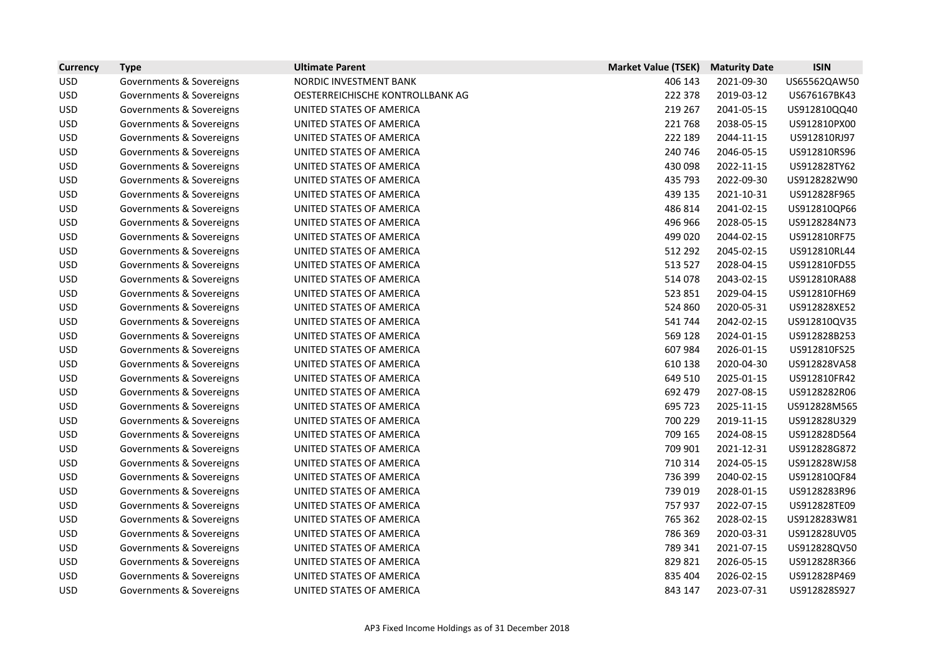| <b>Currency</b> | <b>Type</b>              | <b>Ultimate Parent</b>           | <b>Market Value (TSEK)</b> | <b>Maturity Date</b> | <b>ISIN</b>  |
|-----------------|--------------------------|----------------------------------|----------------------------|----------------------|--------------|
| <b>USD</b>      | Governments & Sovereigns | NORDIC INVESTMENT BANK           | 406 143                    | 2021-09-30           | US65562QAW50 |
| <b>USD</b>      | Governments & Sovereigns | OESTERREICHISCHE KONTROLLBANK AG | 222 378                    | 2019-03-12           | US676167BK43 |
| <b>USD</b>      | Governments & Sovereigns | UNITED STATES OF AMERICA         | 219 267                    | 2041-05-15           | US912810QQ40 |
| <b>USD</b>      | Governments & Sovereigns | UNITED STATES OF AMERICA         | 221768                     | 2038-05-15           | US912810PX00 |
| <b>USD</b>      | Governments & Sovereigns | UNITED STATES OF AMERICA         | 222 189                    | 2044-11-15           | US912810RJ97 |
| <b>USD</b>      | Governments & Sovereigns | UNITED STATES OF AMERICA         | 240 746                    | 2046-05-15           | US912810RS96 |
| <b>USD</b>      | Governments & Sovereigns | UNITED STATES OF AMERICA         | 430 098                    | 2022-11-15           | US912828TY62 |
| <b>USD</b>      | Governments & Sovereigns | UNITED STATES OF AMERICA         | 435 793                    | 2022-09-30           | US9128282W90 |
| <b>USD</b>      | Governments & Sovereigns | UNITED STATES OF AMERICA         | 439 135                    | 2021-10-31           | US912828F965 |
| <b>USD</b>      | Governments & Sovereigns | UNITED STATES OF AMERICA         | 486 814                    | 2041-02-15           | US912810QP66 |
| <b>USD</b>      | Governments & Sovereigns | UNITED STATES OF AMERICA         | 496 966                    | 2028-05-15           | US9128284N73 |
| <b>USD</b>      | Governments & Sovereigns | UNITED STATES OF AMERICA         | 499 020                    | 2044-02-15           | US912810RF75 |
| <b>USD</b>      | Governments & Sovereigns | UNITED STATES OF AMERICA         | 512 292                    | 2045-02-15           | US912810RL44 |
| <b>USD</b>      | Governments & Sovereigns | UNITED STATES OF AMERICA         | 513 527                    | 2028-04-15           | US912810FD55 |
| <b>USD</b>      | Governments & Sovereigns | UNITED STATES OF AMERICA         | 514 078                    | 2043-02-15           | US912810RA88 |
| <b>USD</b>      | Governments & Sovereigns | UNITED STATES OF AMERICA         | 523 851                    | 2029-04-15           | US912810FH69 |
| <b>USD</b>      | Governments & Sovereigns | UNITED STATES OF AMERICA         | 524 860                    | 2020-05-31           | US912828XE52 |
| <b>USD</b>      | Governments & Sovereigns | UNITED STATES OF AMERICA         | 541 744                    | 2042-02-15           | US912810QV35 |
| <b>USD</b>      | Governments & Sovereigns | UNITED STATES OF AMERICA         | 569 128                    | 2024-01-15           | US912828B253 |
| <b>USD</b>      | Governments & Sovereigns | UNITED STATES OF AMERICA         | 607984                     | 2026-01-15           | US912810FS25 |
| <b>USD</b>      | Governments & Sovereigns | UNITED STATES OF AMERICA         | 610 138                    | 2020-04-30           | US912828VA58 |
| <b>USD</b>      | Governments & Sovereigns | UNITED STATES OF AMERICA         | 649 510                    | 2025-01-15           | US912810FR42 |
| <b>USD</b>      | Governments & Sovereigns | UNITED STATES OF AMERICA         | 692 479                    | 2027-08-15           | US9128282R06 |
| <b>USD</b>      | Governments & Sovereigns | UNITED STATES OF AMERICA         | 695 723                    | 2025-11-15           | US912828M565 |
| <b>USD</b>      | Governments & Sovereigns | UNITED STATES OF AMERICA         | 700 229                    | 2019-11-15           | US912828U329 |
| <b>USD</b>      | Governments & Sovereigns | UNITED STATES OF AMERICA         | 709 165                    | 2024-08-15           | US912828D564 |
| <b>USD</b>      | Governments & Sovereigns | UNITED STATES OF AMERICA         | 709 901                    | 2021-12-31           | US912828G872 |
| <b>USD</b>      | Governments & Sovereigns | UNITED STATES OF AMERICA         | 710 314                    | 2024-05-15           | US912828WJ58 |
| <b>USD</b>      | Governments & Sovereigns | UNITED STATES OF AMERICA         | 736 399                    | 2040-02-15           | US912810QF84 |
| <b>USD</b>      | Governments & Sovereigns | UNITED STATES OF AMERICA         | 739 019                    | 2028-01-15           | US9128283R96 |
| <b>USD</b>      | Governments & Sovereigns | UNITED STATES OF AMERICA         | 757937                     | 2022-07-15           | US912828TE09 |
| <b>USD</b>      | Governments & Sovereigns | UNITED STATES OF AMERICA         | 765 362                    | 2028-02-15           | US9128283W81 |
| <b>USD</b>      | Governments & Sovereigns | UNITED STATES OF AMERICA         | 786 369                    | 2020-03-31           | US912828UV05 |
| <b>USD</b>      | Governments & Sovereigns | UNITED STATES OF AMERICA         | 789 341                    | 2021-07-15           | US912828QV50 |
| <b>USD</b>      | Governments & Sovereigns | UNITED STATES OF AMERICA         | 829 821                    | 2026-05-15           | US912828R366 |
| <b>USD</b>      | Governments & Sovereigns | UNITED STATES OF AMERICA         | 835 404                    | 2026-02-15           | US912828P469 |
| <b>USD</b>      | Governments & Sovereigns | UNITED STATES OF AMERICA         | 843 147                    | 2023-07-31           | US912828S927 |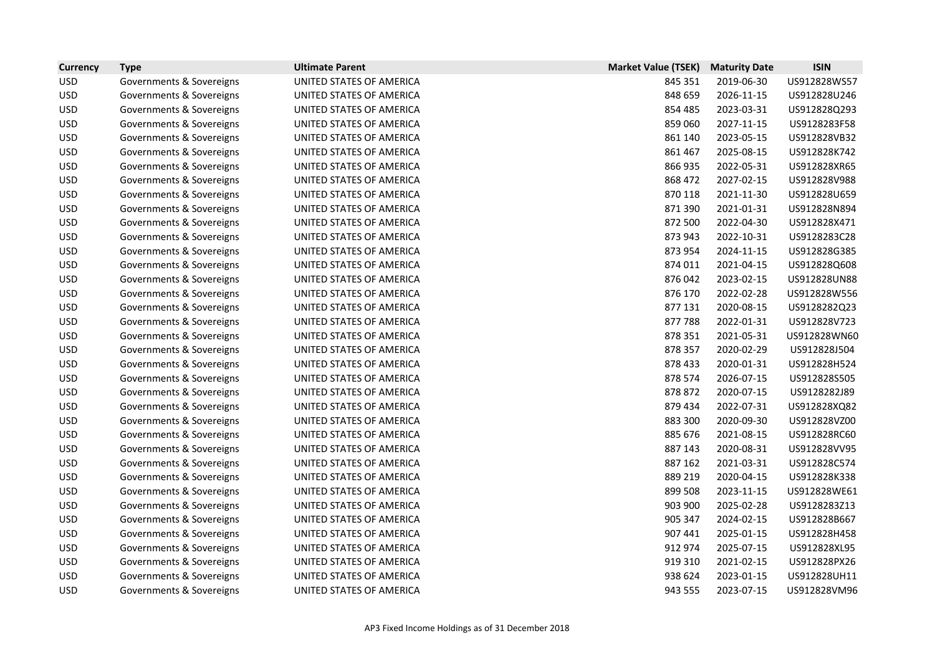| <b>Currency</b> | <b>Type</b>              | <b>Ultimate Parent</b>   | <b>Market Value (TSEK)</b> | <b>Maturity Date</b> | <b>ISIN</b>  |
|-----------------|--------------------------|--------------------------|----------------------------|----------------------|--------------|
| <b>USD</b>      | Governments & Sovereigns | UNITED STATES OF AMERICA | 845 351                    | 2019-06-30           | US912828WS57 |
| <b>USD</b>      | Governments & Sovereigns | UNITED STATES OF AMERICA | 848 659                    | 2026-11-15           | US912828U246 |
| <b>USD</b>      | Governments & Sovereigns | UNITED STATES OF AMERICA | 854 485                    | 2023-03-31           | US912828Q293 |
| <b>USD</b>      | Governments & Sovereigns | UNITED STATES OF AMERICA | 859 060                    | 2027-11-15           | US9128283F58 |
| <b>USD</b>      | Governments & Sovereigns | UNITED STATES OF AMERICA | 861 140                    | 2023-05-15           | US912828VB32 |
| <b>USD</b>      | Governments & Sovereigns | UNITED STATES OF AMERICA | 861 467                    | 2025-08-15           | US912828K742 |
| <b>USD</b>      | Governments & Sovereigns | UNITED STATES OF AMERICA | 866 935                    | 2022-05-31           | US912828XR65 |
| <b>USD</b>      | Governments & Sovereigns | UNITED STATES OF AMERICA | 868 472                    | 2027-02-15           | US912828V988 |
| <b>USD</b>      | Governments & Sovereigns | UNITED STATES OF AMERICA | 870 118                    | 2021-11-30           | US912828U659 |
| <b>USD</b>      | Governments & Sovereigns | UNITED STATES OF AMERICA | 871 390                    | 2021-01-31           | US912828N894 |
| <b>USD</b>      | Governments & Sovereigns | UNITED STATES OF AMERICA | 872 500                    | 2022-04-30           | US912828X471 |
| <b>USD</b>      | Governments & Sovereigns | UNITED STATES OF AMERICA | 873 943                    | 2022-10-31           | US9128283C28 |
| <b>USD</b>      | Governments & Sovereigns | UNITED STATES OF AMERICA | 873 954                    | 2024-11-15           | US912828G385 |
| <b>USD</b>      | Governments & Sovereigns | UNITED STATES OF AMERICA | 874 011                    | 2021-04-15           | US912828Q608 |
| <b>USD</b>      | Governments & Sovereigns | UNITED STATES OF AMERICA | 876042                     | 2023-02-15           | US912828UN88 |
| <b>USD</b>      | Governments & Sovereigns | UNITED STATES OF AMERICA | 876 170                    | 2022-02-28           | US912828W556 |
| <b>USD</b>      | Governments & Sovereigns | UNITED STATES OF AMERICA | 877 131                    | 2020-08-15           | US9128282Q23 |
| <b>USD</b>      | Governments & Sovereigns | UNITED STATES OF AMERICA | 877788                     | 2022-01-31           | US912828V723 |
| <b>USD</b>      | Governments & Sovereigns | UNITED STATES OF AMERICA | 878 351                    | 2021-05-31           | US912828WN60 |
| <b>USD</b>      | Governments & Sovereigns | UNITED STATES OF AMERICA | 878 357                    | 2020-02-29           | US912828J504 |
| <b>USD</b>      | Governments & Sovereigns | UNITED STATES OF AMERICA | 878 433                    | 2020-01-31           | US912828H524 |
| <b>USD</b>      | Governments & Sovereigns | UNITED STATES OF AMERICA | 878 574                    | 2026-07-15           | US912828S505 |
| <b>USD</b>      | Governments & Sovereigns | UNITED STATES OF AMERICA | 878 872                    | 2020-07-15           | US9128282J89 |
| <b>USD</b>      | Governments & Sovereigns | UNITED STATES OF AMERICA | 879 434                    | 2022-07-31           | US912828XQ82 |
| <b>USD</b>      | Governments & Sovereigns | UNITED STATES OF AMERICA | 883 300                    | 2020-09-30           | US912828VZ00 |
| <b>USD</b>      | Governments & Sovereigns | UNITED STATES OF AMERICA | 885 676                    | 2021-08-15           | US912828RC60 |
| <b>USD</b>      | Governments & Sovereigns | UNITED STATES OF AMERICA | 887 143                    | 2020-08-31           | US912828VV95 |
| <b>USD</b>      | Governments & Sovereigns | UNITED STATES OF AMERICA | 887 162                    | 2021-03-31           | US912828C574 |
| <b>USD</b>      | Governments & Sovereigns | UNITED STATES OF AMERICA | 889 219                    | 2020-04-15           | US912828K338 |
| <b>USD</b>      | Governments & Sovereigns | UNITED STATES OF AMERICA | 899 508                    | 2023-11-15           | US912828WE61 |
| <b>USD</b>      | Governments & Sovereigns | UNITED STATES OF AMERICA | 903 900                    | 2025-02-28           | US9128283Z13 |
| <b>USD</b>      | Governments & Sovereigns | UNITED STATES OF AMERICA | 905 347                    | 2024-02-15           | US912828B667 |
| <b>USD</b>      | Governments & Sovereigns | UNITED STATES OF AMERICA | 907 441                    | 2025-01-15           | US912828H458 |
| <b>USD</b>      | Governments & Sovereigns | UNITED STATES OF AMERICA | 912 974                    | 2025-07-15           | US912828XL95 |
| <b>USD</b>      | Governments & Sovereigns | UNITED STATES OF AMERICA | 919 310                    | 2021-02-15           | US912828PX26 |
| <b>USD</b>      | Governments & Sovereigns | UNITED STATES OF AMERICA | 938 624                    | 2023-01-15           | US912828UH11 |
| <b>USD</b>      | Governments & Sovereigns | UNITED STATES OF AMERICA | 943 555                    | 2023-07-15           | US912828VM96 |